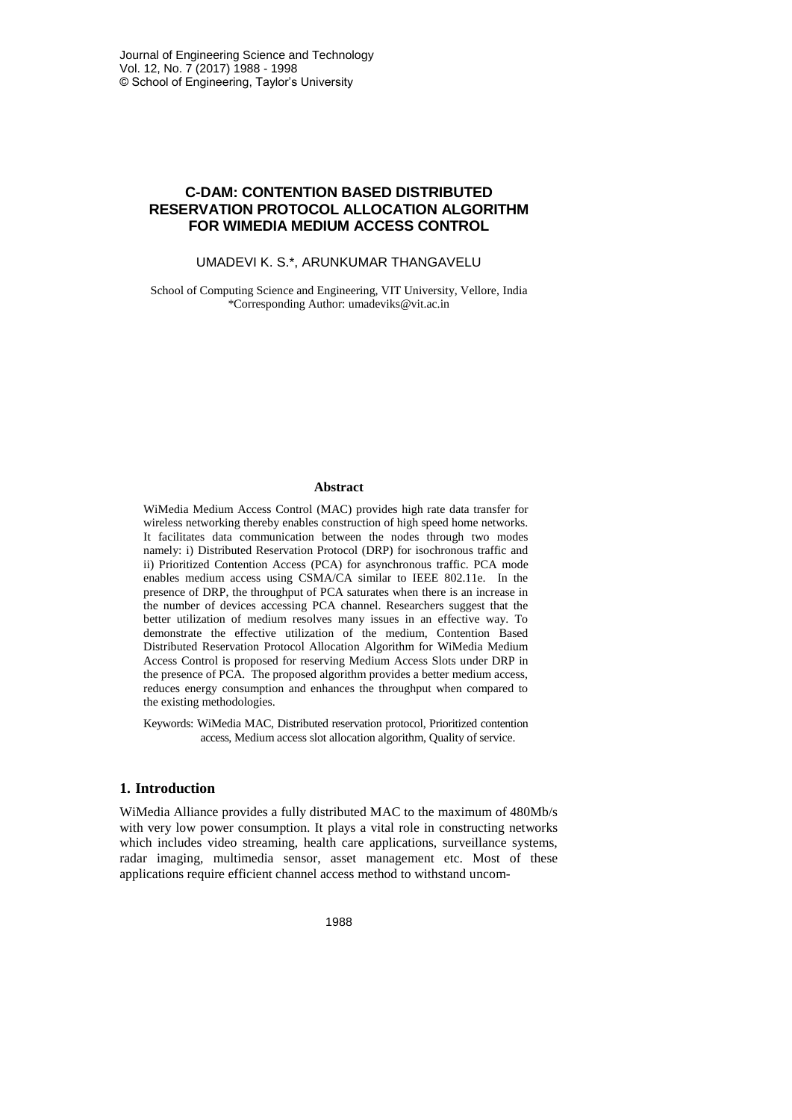# **C-DAM: CONTENTION BASED DISTRIBUTED RESERVATION PROTOCOL ALLOCATION ALGORITHM FOR WIMEDIA MEDIUM ACCESS CONTROL**

### UMADEVI K. S.\*, ARUNKUMAR THANGAVELU

School of Computing Science and Engineering, VIT University, Vellore, India \*Corresponding Author: umadeviks@vit.ac.in

#### **Abstract**

WiMedia Medium Access Control (MAC) provides high rate data transfer for wireless networking thereby enables construction of high speed home networks. It facilitates data communication between the nodes through two modes namely: i) Distributed Reservation Protocol (DRP) for isochronous traffic and ii) Prioritized Contention Access (PCA) for asynchronous traffic. PCA mode enables medium access using CSMA/CA similar to IEEE 802.11e. In the presence of DRP, the throughput of PCA saturates when there is an increase in the number of devices accessing PCA channel. Researchers suggest that the better utilization of medium resolves many issues in an effective way. To demonstrate the effective utilization of the medium, Contention Based Distributed Reservation Protocol Allocation Algorithm for WiMedia Medium Access Control is proposed for reserving Medium Access Slots under DRP in the presence of PCA. The proposed algorithm provides a better medium access, reduces energy consumption and enhances the throughput when compared to the existing methodologies.

Keywords: WiMedia MAC, Distributed reservation protocol, Prioritized contention access, Medium access slot allocation algorithm, Quality of service.

## **1. Introduction**

WiMedia Alliance provides a fully distributed MAC to the maximum of 480Mb/s with very low power consumption. It plays a vital role in constructing networks which includes video streaming, health care applications, surveillance systems, radar imaging, multimedia sensor, asset management etc. Most of these applications require efficient channel access method to withstand uncom-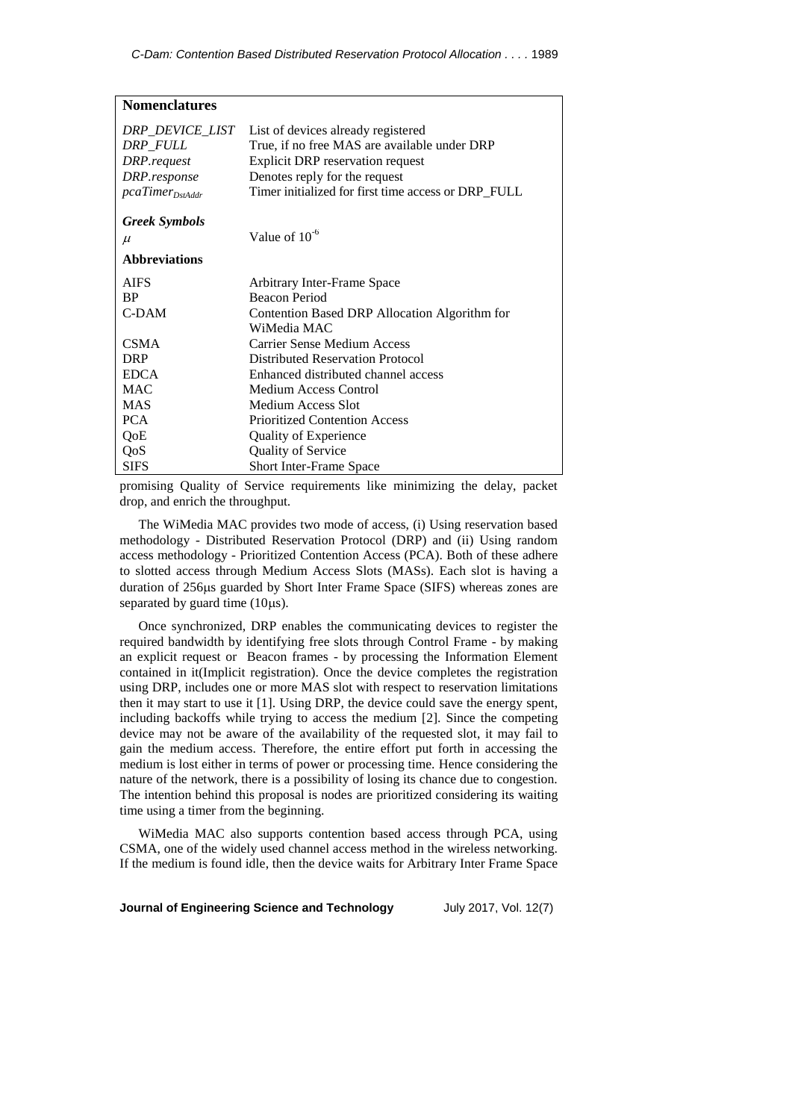| <b>Nomenclatures</b>   |                                                     |  |
|------------------------|-----------------------------------------------------|--|
| <i>DRP_DEVICE_LIST</i> | List of devices already registered                  |  |
| DRP FULL               | True, if no free MAS are available under DRP        |  |
| DRP.request            | Explicit DRP reservation request                    |  |
| DRP.response           | Denotes reply for the request                       |  |
| $pcaTimer_{Dstddr}$    | Timer initialized for first time access or DRP_FULL |  |
| <b>Greek Symbols</b>   |                                                     |  |
| $\mu$                  | Value of $10^{-6}$                                  |  |
| <b>Abbreviations</b>   |                                                     |  |
| <b>AIFS</b>            | Arbitrary Inter-Frame Space                         |  |
| <b>BP</b>              | Beacon Period                                       |  |
| C-DAM                  | Contention Based DRP Allocation Algorithm for       |  |
|                        | WiMedia MAC                                         |  |
| <b>CSMA</b>            | Carrier Sense Medium Access                         |  |
| <b>DRP</b>             | <b>Distributed Reservation Protocol</b>             |  |
| <b>EDCA</b>            | Enhanced distributed channel access                 |  |
| <b>MAC</b>             | Medium Access Control                               |  |
| <b>MAS</b>             | Medium Access Slot                                  |  |
| <b>PCA</b>             | <b>Prioritized Contention Access</b>                |  |
| QoE                    | <b>Quality of Experience</b>                        |  |
| QoS                    | Quality of Service                                  |  |
| <b>SIFS</b>            | Short Inter-Frame Space                             |  |

promising Quality of Service requirements like minimizing the delay, packet drop, and enrich the throughput.

The WiMedia MAC provides two mode of access, (i) Using reservation based methodology - Distributed Reservation Protocol (DRP) and (ii) Using random access methodology - Prioritized Contention Access (PCA). Both of these adhere to slotted access through Medium Access Slots (MASs). Each slot is having a duration of 256µs guarded by Short Inter Frame Space (SIFS) whereas zones are separated by guard time  $(10\mu s)$ .

Once synchronized, DRP enables the communicating devices to register the required bandwidth by identifying free slots through Control Frame - by making an explicit request or Beacon frames - by processing the Information Element contained in it(Implicit registration). Once the device completes the registration using DRP, includes one or more MAS slot with respect to reservation limitations then it may start to use it [1]. Using DRP, the device could save the energy spent, including backoffs while trying to access the medium [2]. Since the competing device may not be aware of the availability of the requested slot, it may fail to gain the medium access. Therefore, the entire effort put forth in accessing the medium is lost either in terms of power or processing time. Hence considering the nature of the network, there is a possibility of losing its chance due to congestion. The intention behind this proposal is nodes are prioritized considering its waiting time using a timer from the beginning.

WiMedia MAC also supports contention based access through PCA, using CSMA, one of the widely used channel access method in the wireless networking. If the medium is found idle, then the device waits for Arbitrary Inter Frame Space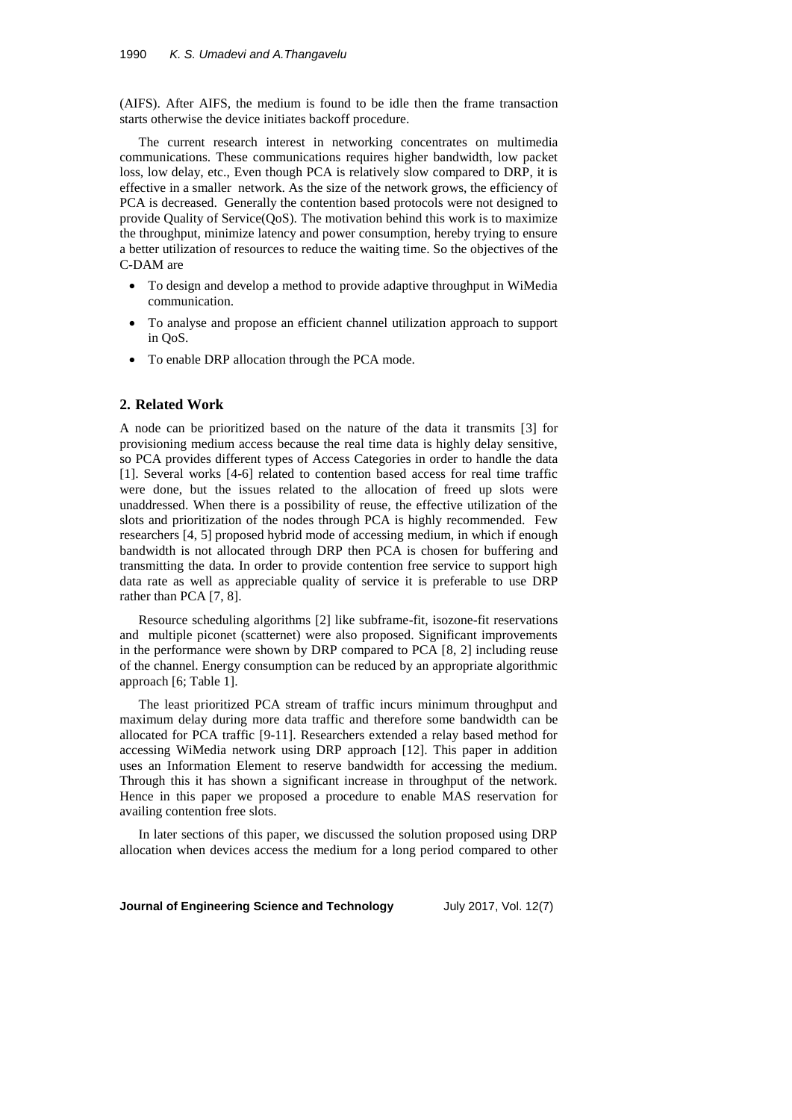(AIFS). After AIFS, the medium is found to be idle then the frame transaction starts otherwise the device initiates backoff procedure.

The current research interest in networking concentrates on multimedia communications. These communications requires higher bandwidth, low packet loss, low delay, etc., Even though PCA is relatively slow compared to DRP, it is effective in a smaller network. As the size of the network grows, the efficiency of PCA is decreased. Generally the contention based protocols were not designed to provide Quality of Service(QoS). The motivation behind this work is to maximize the throughput, minimize latency and power consumption, hereby trying to ensure a better utilization of resources to reduce the waiting time. So the objectives of the C-DAM are

- To design and develop a method to provide adaptive throughput in WiMedia communication.
- To analyse and propose an efficient channel utilization approach to support in QoS.
- To enable DRP allocation through the PCA mode.

# **2. Related Work**

A node can be prioritized based on the nature of the data it transmits [3] for provisioning medium access because the real time data is highly delay sensitive, so PCA provides different types of Access Categories in order to handle the data [1]. Several works [4-6] related to contention based access for real time traffic were done, but the issues related to the allocation of freed up slots were unaddressed. When there is a possibility of reuse, the effective utilization of the slots and prioritization of the nodes through PCA is highly recommended. Few researchers [4, 5] proposed hybrid mode of accessing medium, in which if enough bandwidth is not allocated through DRP then PCA is chosen for buffering and transmitting the data. In order to provide contention free service to support high data rate as well as appreciable quality of service it is preferable to use DRP rather than PCA [7, 8].

Resource scheduling algorithms [2] like subframe-fit, isozone-fit reservations and multiple piconet (scatternet) were also proposed. Significant improvements in the performance were shown by DRP compared to PCA [8, 2] including reuse of the channel. Energy consumption can be reduced by an appropriate algorithmic approach [6; Table 1].

The least prioritized PCA stream of traffic incurs minimum throughput and maximum delay during more data traffic and therefore some bandwidth can be allocated for PCA traffic [9-11]. Researchers extended a relay based method for accessing WiMedia network using DRP approach [12]. This paper in addition uses an Information Element to reserve bandwidth for accessing the medium. Through this it has shown a significant increase in throughput of the network. Hence in this paper we proposed a procedure to enable MAS reservation for availing contention free slots.

In later sections of this paper, we discussed the solution proposed using DRP allocation when devices access the medium for a long period compared to other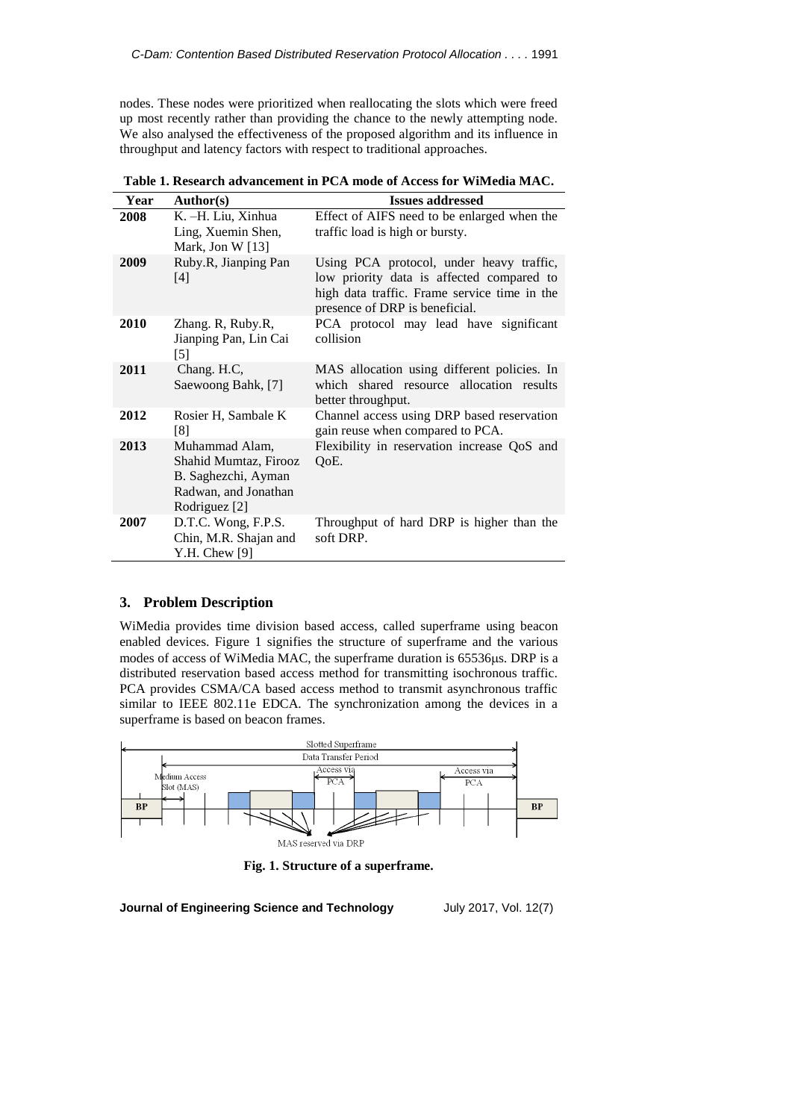nodes. These nodes were prioritized when reallocating the slots which were freed up most recently rather than providing the chance to the newly attempting node. We also analysed the effectiveness of the proposed algorithm and its influence in throughput and latency factors with respect to traditional approaches.

| Year | Author(s)                                                                                               | <b>Issues addressed</b>                                                                                                                                                 |
|------|---------------------------------------------------------------------------------------------------------|-------------------------------------------------------------------------------------------------------------------------------------------------------------------------|
| 2008 | K. -H. Liu, Xinhua<br>Ling, Xuemin Shen,<br>Mark, Jon W $[13]$                                          | Effect of AIFS need to be enlarged when the<br>traffic load is high or bursty.                                                                                          |
| 2009 | Ruby.R, Jianping Pan<br>[4]                                                                             | Using PCA protocol, under heavy traffic,<br>low priority data is affected compared to<br>high data traffic. Frame service time in the<br>presence of DRP is beneficial. |
| 2010 | Zhang. R, Ruby.R,<br>Jianping Pan, Lin Cai<br>$[5]$                                                     | PCA protocol may lead have significant<br>collision                                                                                                                     |
| 2011 | Chang. H.C,<br>Saewoong Bahk, [7]                                                                       | MAS allocation using different policies. In<br>which shared resource allocation results<br>better throughput.                                                           |
| 2012 | Rosier H, Sambale K<br>[8]                                                                              | Channel access using DRP based reservation<br>gain reuse when compared to PCA.                                                                                          |
| 2013 | Muhammad Alam,<br>Shahid Mumtaz, Firooz<br>B. Saghezchi, Ayman<br>Radwan, and Jonathan<br>Rodriguez [2] | Flexibility in reservation increase QoS and<br>QoE.                                                                                                                     |
| 2007 | D.T.C. Wong, F.P.S.<br>Chin, M.R. Shajan and<br>Y.H. Chew $[9]$                                         | Throughput of hard DRP is higher than the<br>soft DRP.                                                                                                                  |

**Table 1. Research advancement in PCA mode of Access for WiMedia MAC.**

# **3. Problem Description**

WiMedia provides time division based access, called superframe using beacon enabled devices. Figure 1 signifies the structure of superframe and the various modes of access of WiMedia MAC, the superframe duration is 65536µs. DRP is a distributed reservation based access method for transmitting isochronous traffic. PCA provides CSMA/CA based access method to transmit asynchronous traffic similar to IEEE 802.11e EDCA. The synchronization among the devices in a superframe is based on beacon frames.



**Fig. 1. Structure of a superframe.**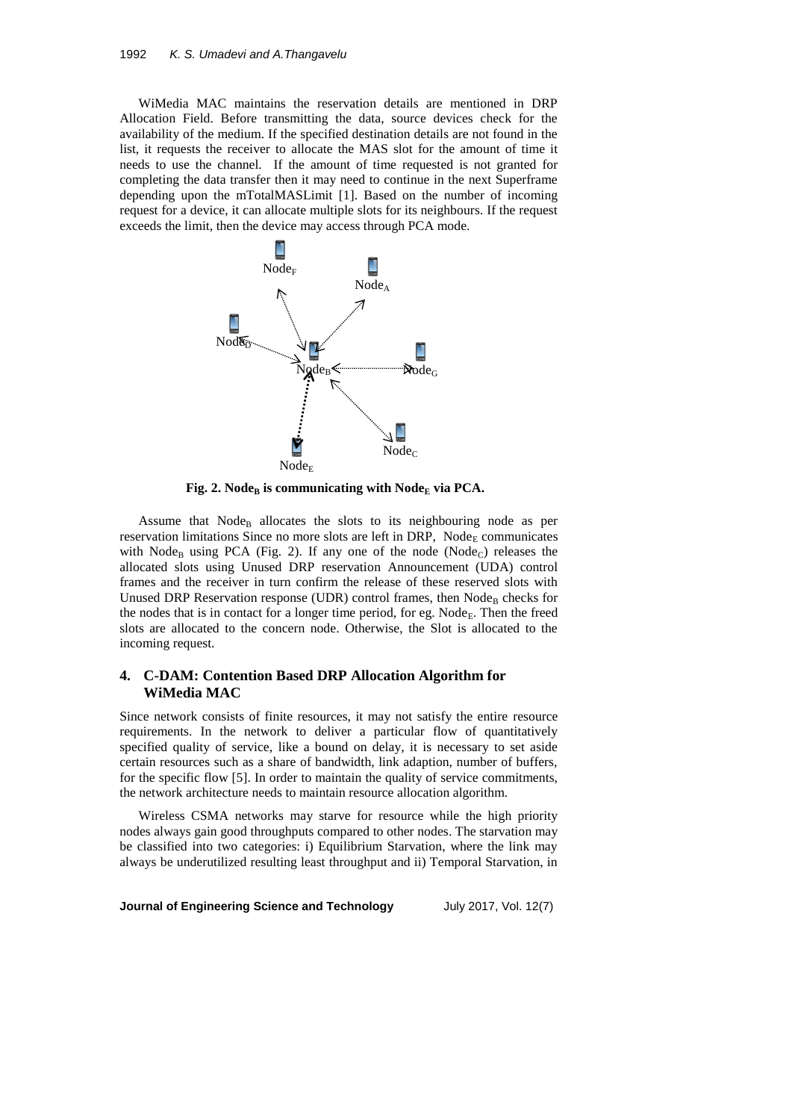WiMedia MAC maintains the reservation details are mentioned in DRP Allocation Field. Before transmitting the data, source devices check for the availability of the medium. If the specified destination details are not found in the list, it requests the receiver to allocate the MAS slot for the amount of time it needs to use the channel. If the amount of time requested is not granted for completing the data transfer then it may need to continue in the next Superframe depending upon the mTotalMASLimit [1]. Based on the number of incoming request for a device, it can allocate multiple slots for its neighbours. If the request exceeds the limit, then the device may access through PCA mode.



**Fig.** 2. Node<sub>B</sub> is communicating with Node<sub>E</sub> via PCA.

Assume that  $Node_B$  allocates the slots to its neighbouring node as per reservation limitations Since no more slots are left in DRP,  $Node<sub>E</sub>$  communicates with Node<sub>B</sub> using PCA (Fig. 2). If any one of the node (Node<sub>C</sub>) releases the allocated slots using Unused DRP reservation Announcement (UDA) control frames and the receiver in turn confirm the release of these reserved slots with Unused DRP Reservation response (UDR) control frames, then  $Node_B$  checks for the nodes that is in contact for a longer time period, for eg. Node<sub>E</sub>. Then the freed slots are allocated to the concern node. Otherwise, the Slot is allocated to the incoming request.

## **4. C-DAM: Contention Based DRP Allocation Algorithm for WiMedia MAC**

Since network consists of finite resources, it may not satisfy the entire resource requirements. In the network to deliver a particular flow of quantitatively specified quality of service, like a bound on delay, it is necessary to set aside certain resources such as a share of bandwidth, link adaption, number of buffers, for the specific flow [5]. In order to maintain the quality of service commitments, the network architecture needs to maintain resource allocation algorithm.

Wireless CSMA networks may starve for resource while the high priority nodes always gain good throughputs compared to other nodes. The starvation may be classified into two categories: i) Equilibrium Starvation, where the link may always be underutilized resulting least throughput and ii) Temporal Starvation, in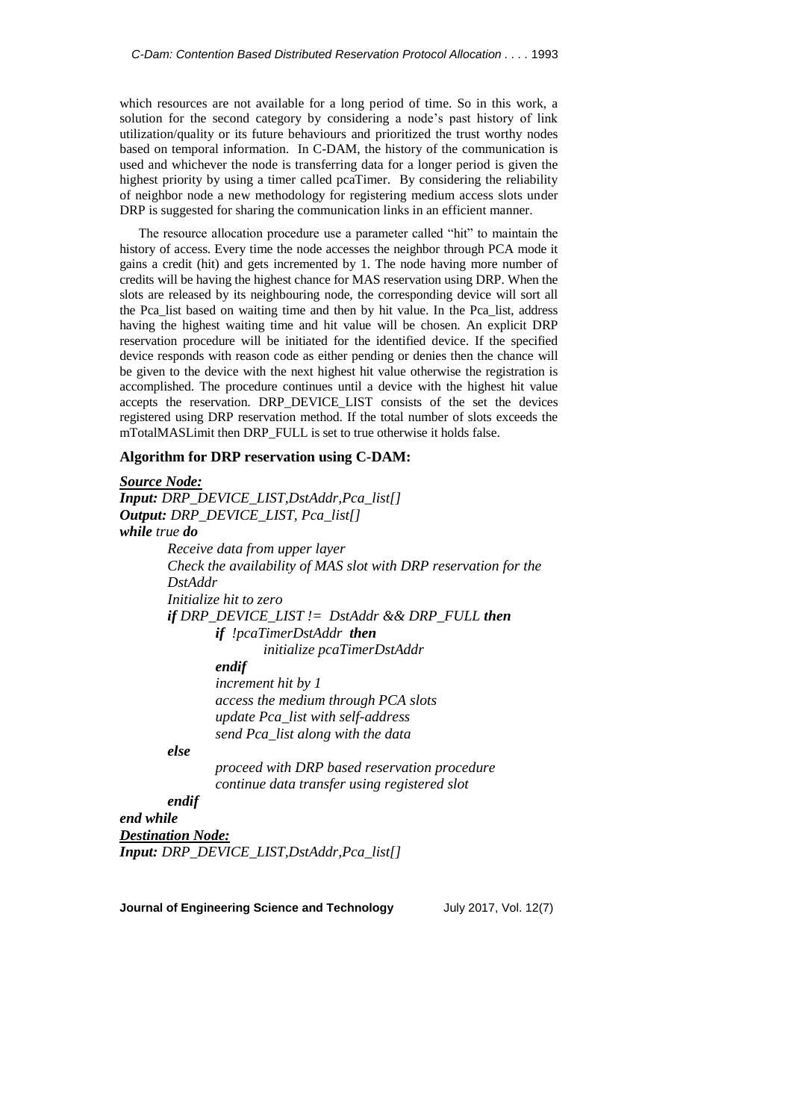which resources are not available for a long period of time. So in this work, a solution for the second category by considering a node's past history of link utilization/quality or its future behaviours and prioritized the trust worthy nodes based on temporal information. In C-DAM, the history of the communication is used and whichever the node is transferring data for a longer period is given the highest priority by using a timer called pcaTimer. By considering the reliability of neighbor node a new methodology for registering medium access slots under DRP is suggested for sharing the communication links in an efficient manner.

The resource allocation procedure use a parameter called "hit" to maintain the history of access. Every time the node accesses the neighbor through PCA mode it gains a credit (hit) and gets incremented by 1. The node having more number of credits will be having the highest chance for MAS reservation using DRP. When the slots are released by its neighbouring node, the corresponding device will sort all the Pca\_list based on waiting time and then by hit value. In the Pca\_list, address having the highest waiting time and hit value will be chosen. An explicit DRP reservation procedure will be initiated for the identified device. If the specified device responds with reason code as either pending or denies then the chance will be given to the device with the next highest hit value otherwise the registration is accomplished. The procedure continues until a device with the highest hit value accepts the reservation. DRP\_DEVICE\_LIST consists of the set the devices registered using DRP reservation method. If the total number of slots exceeds the mTotalMASLimit then DRP\_FULL is set to true otherwise it holds false.

## **Algorithm for DRP reservation using C-DAM:**

# *Source Node: Input: DRP\_DEVICE\_LIST,DstAddr,Pca\_list[] Output: DRP\_DEVICE\_LIST, Pca\_list[] while true do Receive data from upper layer Check the availability of MAS slot with DRP reservation for the DstAddr Initialize hit to zero if DRP\_DEVICE\_LIST != DstAddr && DRP\_FULL then if !pcaTimerDstAddr then initialize pcaTimerDstAddr endif increment hit by 1 access the medium through PCA slots update Pca\_list with self-address send Pca\_list along with the data else proceed with DRP based reservation procedure*

*continue data transfer using registered slot*

## *endif end while*

*Destination Node: Input: DRP\_DEVICE\_LIST,DstAddr,Pca\_list[]*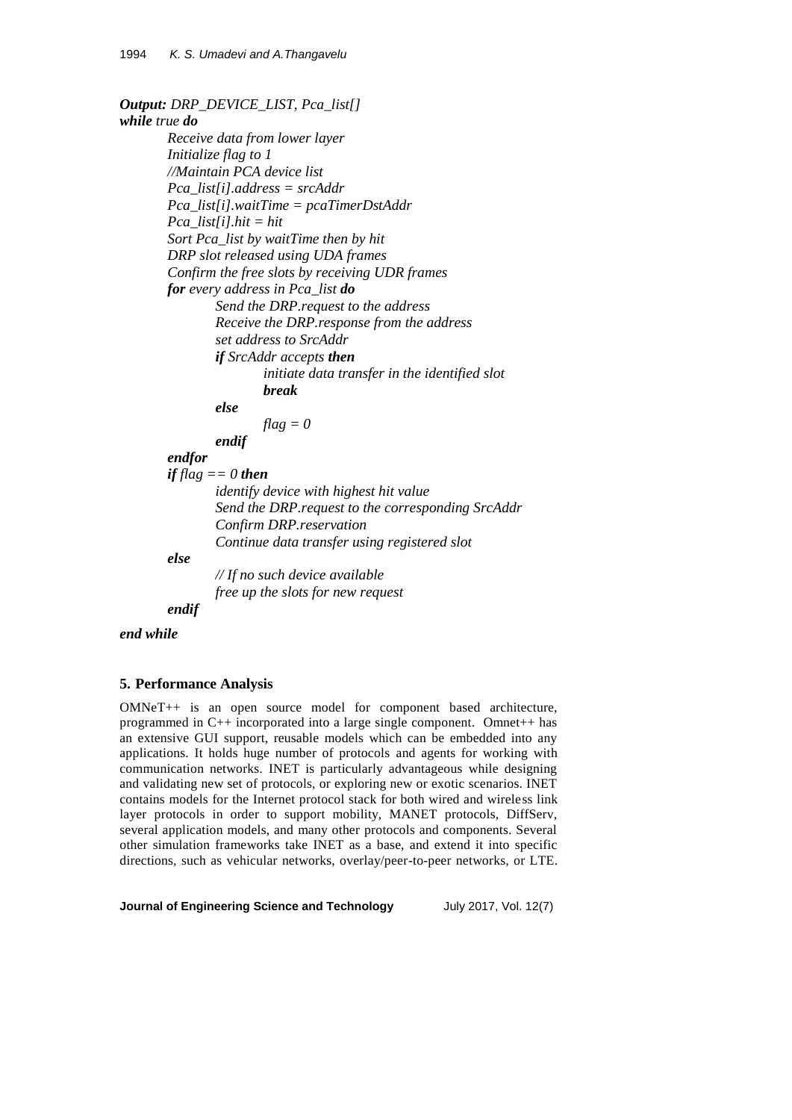*Output: DRP\_DEVICE\_LIST, Pca\_list[] while true do Receive data from lower layer Initialize flag to 1 //Maintain PCA device list Pca\_list[i].address = srcAddr Pca\_list[i].waitTime = pcaTimerDstAddr Pca\_list[i].hit = hit Sort Pca\_list by waitTime then by hit DRP slot released using UDA frames Confirm the free slots by receiving UDR frames for every address in Pca\_list do Send the DRP.request to the address Receive the DRP.response from the address set address to SrcAddr if SrcAddr accepts then initiate data transfer in the identified slot break else flag = 0 endif endfor if flag == 0 then identify device with highest hit value Send the DRP.request to the corresponding SrcAddr Confirm DRP.reservation Continue data transfer using registered slot else // If no such device available free up the slots for new request endif*

*end while*

# **5. Performance Analysis**

OMNeT++ is an open source model for component based architecture, programmed in C++ incorporated into a large single component. Omnet++ has an extensive GUI support, reusable models which can be embedded into any applications. It holds huge number of protocols and agents for working with communication networks. INET is particularly advantageous while designing and validating new set of protocols, or exploring new or exotic scenarios. INET contains models for the Internet protocol stack for both wired and wireless link layer protocols in order to support mobility, MANET protocols, DiffServ, several application models, and many other protocols and components. Several other simulation frameworks take INET as a base, and extend it into specific directions, such as vehicular networks, overlay/peer-to-peer networks, or LTE.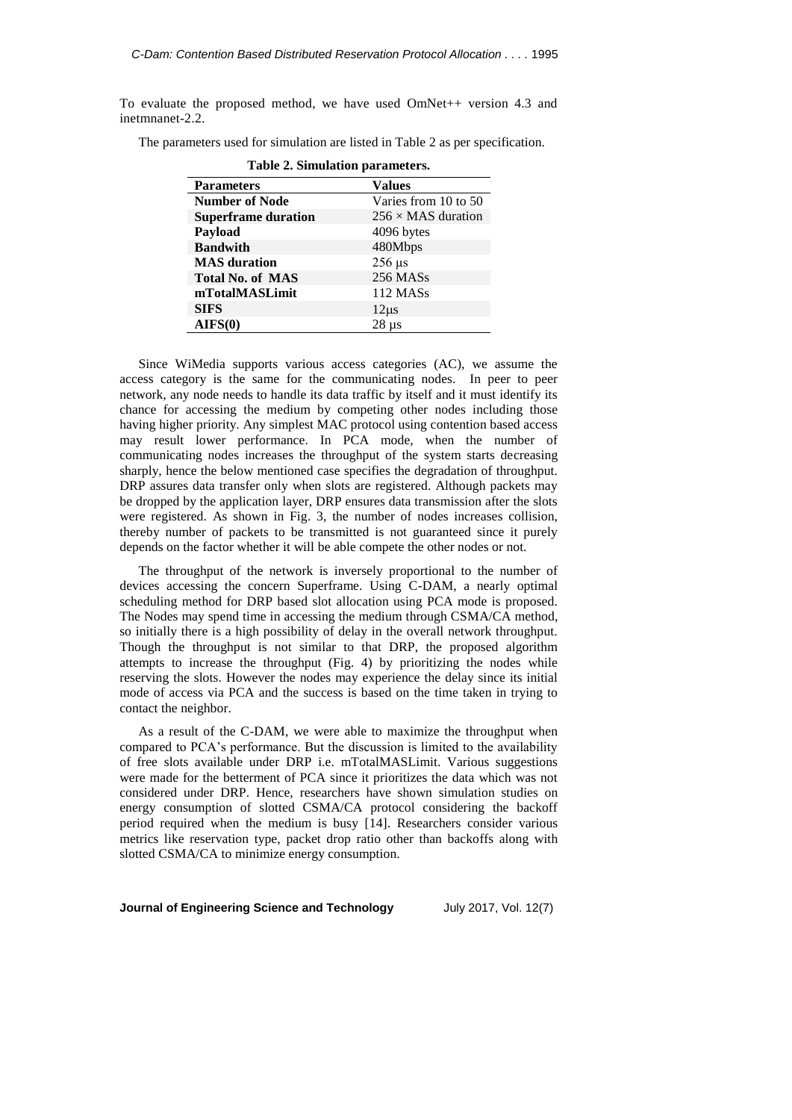To evaluate the proposed method, we have used OmNet++ version 4.3 and inetmnanet-2.2.

The parameters used for simulation are listed in Table 2 as per specification.

| <b>Parameters</b>          | <b>Values</b>             |  |  |
|----------------------------|---------------------------|--|--|
| <b>Number of Node</b>      | Varies from 10 to 50      |  |  |
| <b>Superframe duration</b> | $256 \times$ MAS duration |  |  |
| Payload                    | 4096 bytes                |  |  |
| <b>Bandwith</b>            | 480Mbps                   |  |  |
| <b>MAS</b> duration        | $256 \text{ }\mu\text{s}$ |  |  |
| <b>Total No. of MAS</b>    | 256 MASs                  |  |  |
| mTotalMASLimit             | 112 MASs                  |  |  |
| <b>SIFS</b>                | $12\mu s$                 |  |  |
| AIFS(0)                    | $28 \mu s$                |  |  |

**Table 2. Simulation parameters.**

Since WiMedia supports various access categories (AC), we assume the access category is the same for the communicating nodes. In peer to peer network, any node needs to handle its data traffic by itself and it must identify its chance for accessing the medium by competing other nodes including those having higher priority. Any simplest MAC protocol using contention based access may result lower performance. In PCA mode, when the number of communicating nodes increases the throughput of the system starts decreasing sharply, hence the below mentioned case specifies the degradation of throughput. DRP assures data transfer only when slots are registered. Although packets may be dropped by the application layer, DRP ensures data transmission after the slots were registered. As shown in Fig. 3, the number of nodes increases collision, thereby number of packets to be transmitted is not guaranteed since it purely depends on the factor whether it will be able compete the other nodes or not.

The throughput of the network is inversely proportional to the number of devices accessing the concern Superframe. Using C-DAM, a nearly optimal scheduling method for DRP based slot allocation using PCA mode is proposed. The Nodes may spend time in accessing the medium through CSMA/CA method, so initially there is a high possibility of delay in the overall network throughput. Though the throughput is not similar to that DRP, the proposed algorithm attempts to increase the throughput (Fig. 4) by prioritizing the nodes while reserving the slots. However the nodes may experience the delay since its initial mode of access via PCA and the success is based on the time taken in trying to contact the neighbor.

As a result of the C-DAM, we were able to maximize the throughput when compared to PCA's performance. But the discussion is limited to the availability of free slots available under DRP i.e. mTotalMASLimit. Various suggestions were made for the betterment of PCA since it prioritizes the data which was not considered under DRP. Hence, researchers have shown simulation studies on energy consumption of slotted CSMA/CA protocol considering the backoff period required when the medium is busy [14]. Researchers consider various metrics like reservation type, packet drop ratio other than backoffs along with slotted CSMA/CA to minimize energy consumption.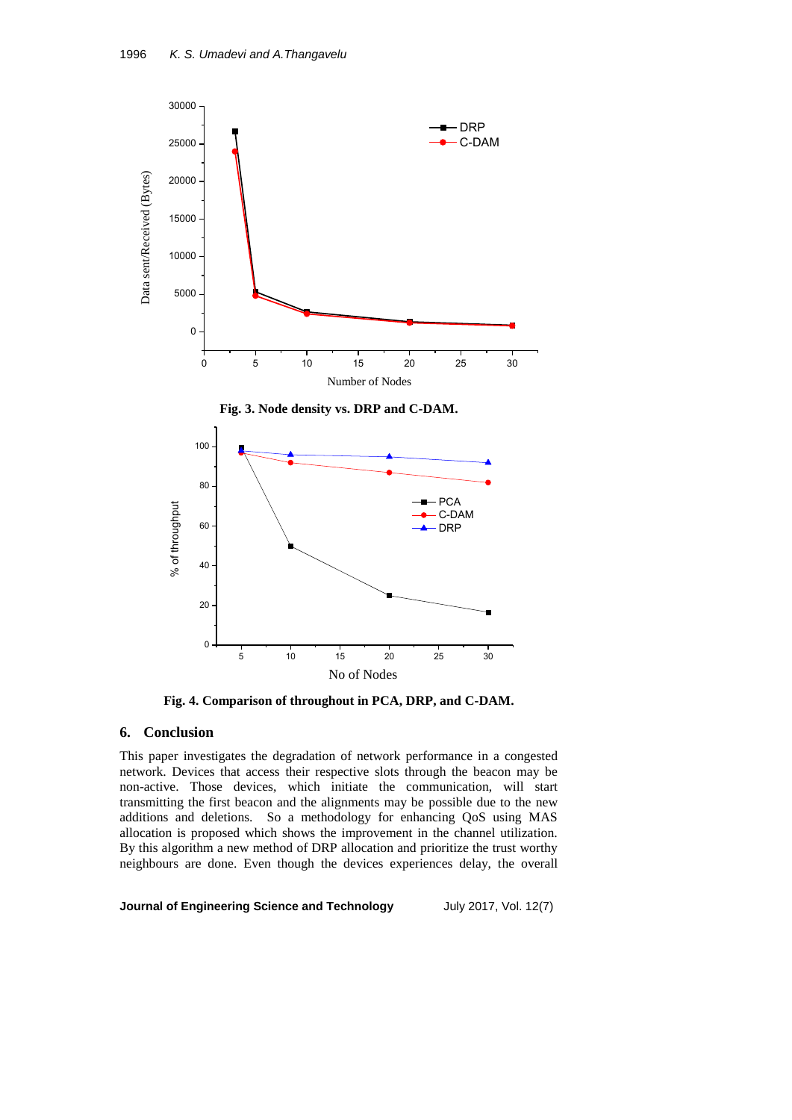

**Fig. 3. Node density vs. DRP and C-DAM.**



**Fig. 4. Comparison of throughout in PCA, DRP, and C-DAM.**

## **6. Conclusion**

This paper investigates the degradation of network performance in a congested network. Devices that access their respective slots through the beacon may be non-active. Those devices, which initiate the communication, will start transmitting the first beacon and the alignments may be possible due to the new additions and deletions. So a methodology for enhancing QoS using MAS allocation is proposed which shows the improvement in the channel utilization. By this algorithm a new method of DRP allocation and prioritize the trust worthy neighbours are done. Even though the devices experiences delay, the overall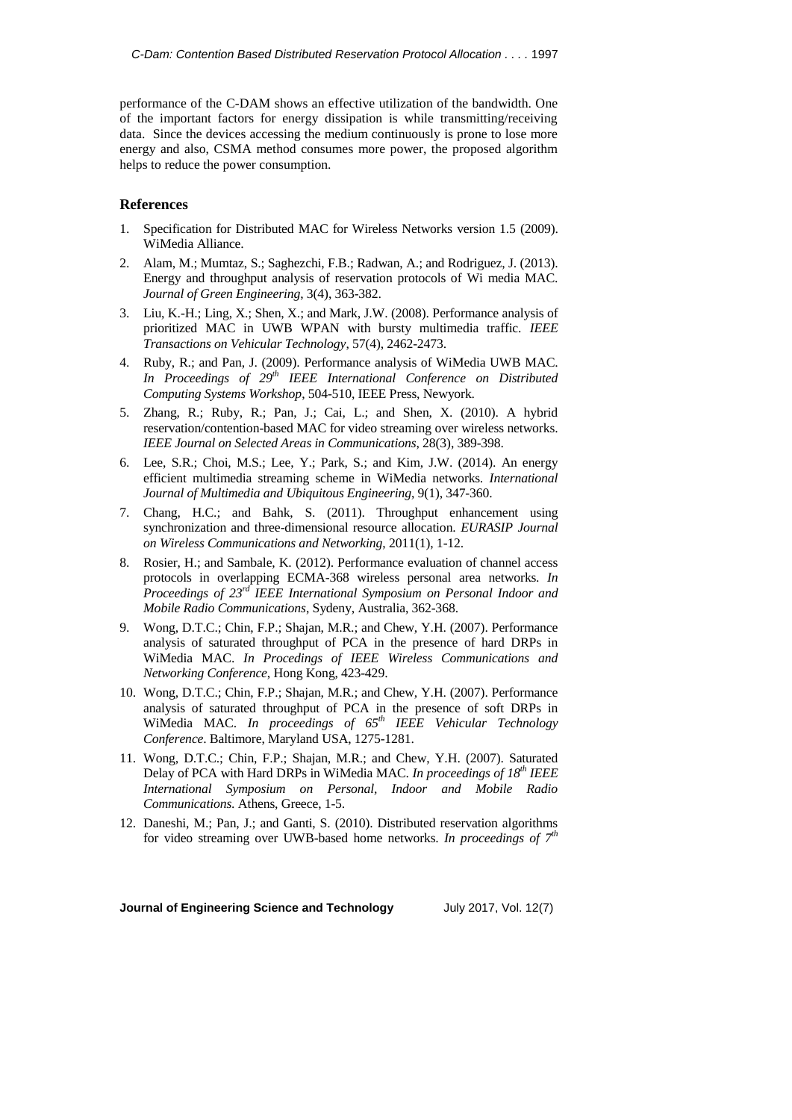performance of the C-DAM shows an effective utilization of the bandwidth. One of the important factors for energy dissipation is while transmitting/receiving data. Since the devices accessing the medium continuously is prone to lose more energy and also, CSMA method consumes more power, the proposed algorithm helps to reduce the power consumption.

#### **References**

- 1. Specification for Distributed MAC for Wireless Networks version 1.5 (2009). WiMedia Alliance.
- 2. Alam, M.; Mumtaz, S.; Saghezchi, F.B.; Radwan, A.; and Rodriguez, J. (2013). Energy and throughput analysis of reservation protocols of Wi media MAC. *Journal of Green Engineering*, 3(4), 363-382.
- 3. Liu, K.-H.; Ling, X.; Shen, X.; and Mark, J.W. (2008). Performance analysis of prioritized MAC in UWB WPAN with bursty multimedia traffic. *IEEE Transactions on Vehicular Technology*, 57(4), 2462-2473.
- 4. Ruby, R.; and Pan, J. (2009). Performance analysis of WiMedia UWB MAC. *In Proceedings of 29th IEEE International Conference on Distributed Computing Systems Workshop*, 504-510, IEEE Press, Newyork.
- 5. Zhang, R.; Ruby, R.; Pan, J.; Cai, L.; and Shen, X. (2010). A hybrid reservation/contention-based MAC for video streaming over wireless networks. *IEEE Journal on Selected Areas in Communications*, 28(3), 389-398.
- 6. Lee, S.R.; Choi, M.S.; Lee, Y.; Park, S.; and Kim, J.W. (2014). An energy efficient multimedia streaming scheme in WiMedia networks. *International Journal of Multimedia and Ubiquitous Engineering*, 9(1), 347-360.
- 7. Chang, H.C.; and Bahk, S. (2011). Throughput enhancement using synchronization and three-dimensional resource allocation. *EURASIP Journal on Wireless Communications and Networking*, 2011(1), 1-12.
- 8. Rosier, H.; and Sambale, K. (2012). Performance evaluation of channel access protocols in overlapping ECMA-368 wireless personal area networks. *In Proceedings of 23<sup>rd</sup> IEEE International Symposium on Personal Indoor and Mobile Radio Communications*, Sydeny, Australia, 362-368.
- 9. Wong, D.T.C.; Chin, F.P.; Shajan, M.R.; and Chew, Y.H. (2007). Performance analysis of saturated throughput of PCA in the presence of hard DRPs in WiMedia MAC. *In Procedings of IEEE Wireless Communications and Networking Conference*, Hong Kong, 423-429.
- 10. Wong, D.T.C.; Chin, F.P.; Shajan, M.R.; and Chew, Y.H. (2007). Performance analysis of saturated throughput of PCA in the presence of soft DRPs in WiMedia MAC. *In proceedings of 65th IEEE Vehicular Technology Conference*. Baltimore, Maryland USA, 1275-1281.
- 11. Wong, D.T.C.; Chin, F.P.; Shajan, M.R.; and Chew, Y.H. (2007). Saturated Delay of PCA with Hard DRPs in WiMedia MAC. *In proceedings of 18th IEEE International Symposium on Personal, Indoor and Mobile Radio Communications*. Athens, Greece, 1-5.
- 12. Daneshi, M.; Pan, J.; and Ganti, S. (2010). Distributed reservation algorithms for video streaming over UWB-based home networks. *In proceedings of*  $7<sup>th</sup>$